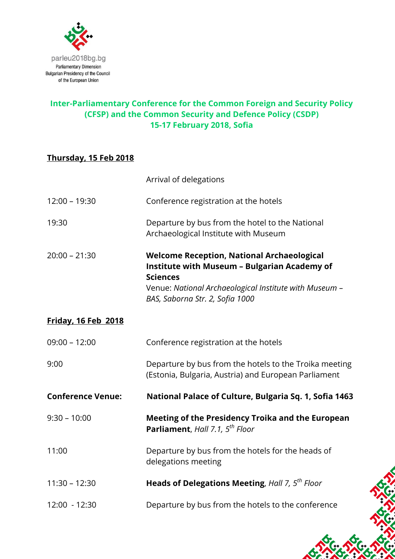

#### **Inter-Parliamentary Conference for the Common Foreign and Security Policy (CFSP) and the Common Security and Defence Policy (CSDP) 15-17 February 2018, Sofia**

## **Thursday, 15 Feb 2018**

|                            | Arrival of delegations                                                                                                                                                                                                   |
|----------------------------|--------------------------------------------------------------------------------------------------------------------------------------------------------------------------------------------------------------------------|
| $12:00 - 19:30$            | Conference registration at the hotels                                                                                                                                                                                    |
| 19:30                      | Departure by bus from the hotel to the National<br>Archaeological Institute with Museum                                                                                                                                  |
| $20:00 - 21:30$            | <b>Welcome Reception, National Archaeological</b><br><b>Institute with Museum - Bulgarian Academy of</b><br><b>Sciences</b><br>Venue: National Archaeological Institute with Museum -<br>BAS, Saborna Str. 2, Sofia 1000 |
| <b>Friday, 16 Feb 2018</b> |                                                                                                                                                                                                                          |
| $09:00 - 12:00$            | Conference registration at the hotels                                                                                                                                                                                    |
| 9:00                       | Departure by bus from the hotels to the Troika meeting<br>(Estonia, Bulgaria, Austria) and European Parliament                                                                                                           |
| <b>Conference Venue:</b>   | National Palace of Culture, Bulgaria Sq. 1, Sofia 1463                                                                                                                                                                   |
| $9:30 - 10:00$             | <b>Meeting of the Presidency Troika and the European</b><br>Parliament, Hall 7.1, 5 <sup>th</sup> Floor                                                                                                                  |
| 11:00                      | Departure by bus from the hotels for the heads of<br>delegations meeting                                                                                                                                                 |
| $11:30 - 12:30$            | Heads of Delegations Meeting, Hall 7, 5 <sup>th</sup> Floor                                                                                                                                                              |
| 12:00 - 12:30              | Departure by bus from the hotels to the conference                                                                                                                                                                       |
|                            |                                                                                                                                                                                                                          |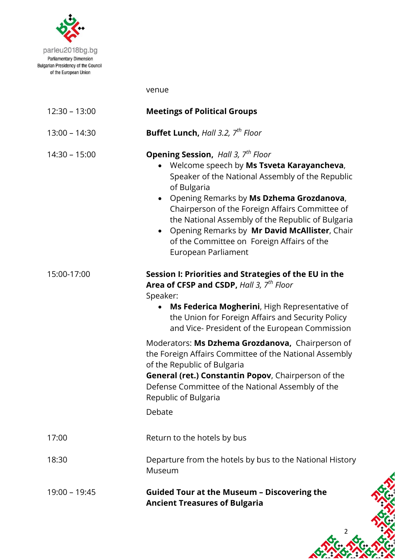

venue

| $12:30 - 13:00$ | <b>Meetings of Political Groups</b>                                                                                                                                                                                                                                                                                                                                                                                                                                                                                                                                          |
|-----------------|------------------------------------------------------------------------------------------------------------------------------------------------------------------------------------------------------------------------------------------------------------------------------------------------------------------------------------------------------------------------------------------------------------------------------------------------------------------------------------------------------------------------------------------------------------------------------|
| $13:00 - 14:30$ | <b>Buffet Lunch, Hall 3.2, <math>7^{th}</math> Floor</b>                                                                                                                                                                                                                                                                                                                                                                                                                                                                                                                     |
| $14:30 - 15:00$ | <b>Opening Session, Hall 3, 7th Floor</b><br>Welcome speech by Ms Tsveta Karayancheva,<br>Speaker of the National Assembly of the Republic<br>of Bulgaria<br>Opening Remarks by Ms Dzhema Grozdanova,<br>Chairperson of the Foreign Affairs Committee of<br>the National Assembly of the Republic of Bulgaria<br>Opening Remarks by Mr David McAllister, Chair<br>of the Committee on Foreign Affairs of the<br>European Parliament                                                                                                                                          |
| 15:00-17:00     | Session I: Priorities and Strategies of the EU in the<br>Area of CFSP and CSDP, Hall 3, 7 <sup>th</sup> Floor<br>Speaker:<br>Ms Federica Mogherini, High Representative of<br>the Union for Foreign Affairs and Security Policy<br>and Vice- President of the European Commission<br>Moderators: Ms Dzhema Grozdanova, Chairperson of<br>the Foreign Affairs Committee of the National Assembly<br>of the Republic of Bulgaria<br>General (ret.) Constantin Popov, Chairperson of the<br>Defense Committee of the National Assembly of the<br>Republic of Bulgaria<br>Debate |
| 17:00           | Return to the hotels by bus                                                                                                                                                                                                                                                                                                                                                                                                                                                                                                                                                  |
| 18:30           | Departure from the hotels by bus to the National History<br>Museum                                                                                                                                                                                                                                                                                                                                                                                                                                                                                                           |
| $19:00 - 19:45$ | <b>Guided Tour at the Museum - Discovering the</b><br><b>Ancient Treasures of Bulgaria</b>                                                                                                                                                                                                                                                                                                                                                                                                                                                                                   |

2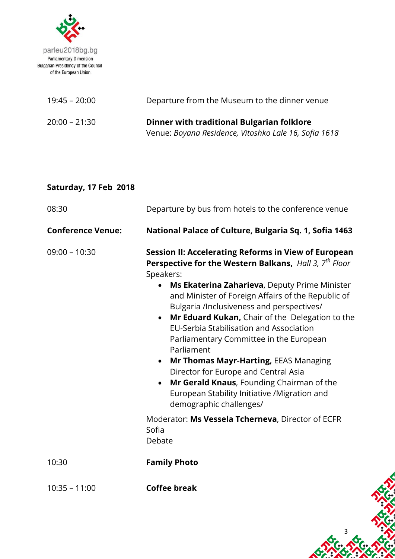

| 19:45 – 20:00   | Departure from the Museum to the dinner venue         |
|-----------------|-------------------------------------------------------|
| $20:00 - 21:30$ | Dinner with traditional Bulgarian folklore            |
|                 | Venue: Boyana Residence, Vitoshko Lale 16, Sofia 1618 |

# **Saturday, 17 Feb 2018**

| 08:30                    | Departure by bus from hotels to the conference venue                                                                                                                                                                                                                                                                                                                                                                                                                                                                                                                                                                                                                                                                                                                              |
|--------------------------|-----------------------------------------------------------------------------------------------------------------------------------------------------------------------------------------------------------------------------------------------------------------------------------------------------------------------------------------------------------------------------------------------------------------------------------------------------------------------------------------------------------------------------------------------------------------------------------------------------------------------------------------------------------------------------------------------------------------------------------------------------------------------------------|
| <b>Conference Venue:</b> | National Palace of Culture, Bulgaria Sq. 1, Sofia 1463                                                                                                                                                                                                                                                                                                                                                                                                                                                                                                                                                                                                                                                                                                                            |
| $09:00 - 10:30$          | Session II: Accelerating Reforms in View of European<br>Perspective for the Western Balkans, Hall 3, 7 <sup>th</sup> Floor<br>Speakers:<br>Ms Ekaterina Zaharieva, Deputy Prime Minister<br>and Minister of Foreign Affairs of the Republic of<br>Bulgaria /Inclusiveness and perspectives/<br>Mr Eduard Kukan, Chair of the Delegation to the<br>$\bullet$<br><b>EU-Serbia Stabilisation and Association</b><br>Parliamentary Committee in the European<br>Parliament<br>Mr Thomas Mayr-Harting, EEAS Managing<br>$\bullet$<br>Director for Europe and Central Asia<br>Mr Gerald Knaus, Founding Chairman of the<br>$\bullet$<br>European Stability Initiative /Migration and<br>demographic challenges/<br>Moderator: Ms Vessela Tcherneva, Director of ECFR<br>Sofia<br>Debate |
| 10:30                    | <b>Family Photo</b>                                                                                                                                                                                                                                                                                                                                                                                                                                                                                                                                                                                                                                                                                                                                                               |
| $10:35 - 11:00$          | <b>Coffee break</b>                                                                                                                                                                                                                                                                                                                                                                                                                                                                                                                                                                                                                                                                                                                                                               |

3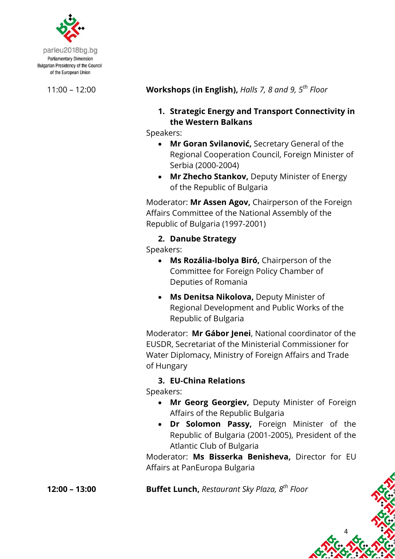

parleu2018bg.bg **Parliamentary Dimension Bulgarian Presidency of the Council** of the European Union

11:00 – 12:00 **Workshops (in English),** *Halls 7, 8 and 9, 5th Floor*

#### **1. Strategic Energy and Transport Connectivity in the Western Balkans**

Speakers:

- **Mr Goran Svilanović,** Secretary General of the Regional Cooperation Council, Foreign Minister of Serbia (2000-2004)
- **Mr Zhecho Stankov,** Deputy Minister of Energy of the Republic of Bulgaria

Moderator: **Mr Assen Agov,** Chairperson of the Foreign Affairs Committee of the National Assembly of the Republic of Bulgaria (1997-2001)

## **2. Danube Strategy**

Speakers:

- **Ms Rozália-Ibolya Biró,** Chairperson of the Committee for Foreign Policy Chamber of Deputies оf Romania
- **Ms Denitsa Nikolova,** Deputy Minister of Regional Development and Public Works of the Republic of Bulgaria

Moderator: **Mr Gábor Jenei**, National coordinator of the EUSDR, Secretariat of the Ministerial Commissioner for Water Diplomacy, Ministry of Foreign Affairs and Trade of Hungary

## **3. EU-China Relations**

Speakers:

- **Mr Georg Georgiev,** Deputy Minister of Foreign Affairs of the Republic Bulgaria
- **Dr Solomon Passy,** Foreign Minister of the Republic of Bulgaria (2001-2005), President of the Atlantic Club of Bulgaria

4

Moderator: **Ms Bisserka Benisheva,** Director for EU Affairs at PanEuropa Bulgaria

**12:00 – 13:00 Buffet Lunch,** *Restaurant Sky Plaza, 8 th Floor*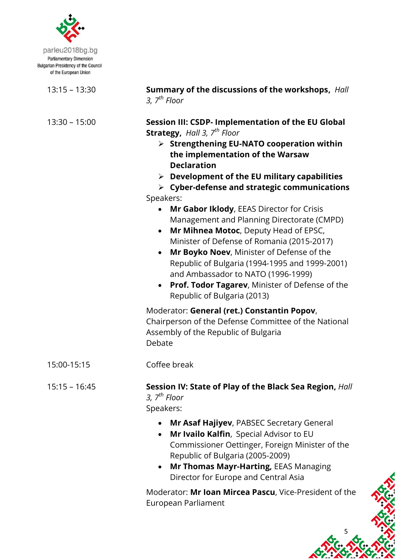

parleu2018bg.bg **Parliamentary Dimension Bulgarian Presidency of the Council** of the European Union

13:15 – 13:30 **Summary of the discussions of the workshops,** *Hall 3, 7th Floor*

13:30 – 15:00 **Session III: CSDP- Implementation of the EU Global Strategy,** *Hall 3, 7th Floor*

- **Strengthening EU-NATO cooperation within the implementation of the Warsaw Declaration**
- **Development of the EU military capabilities**
- **Cyber-defense and strategic communications** Speakers:
	- **Mr Gabor Iklody**, EEAS Director for Crisis Management and Planning Directorate (CMPD)
	- **Mr Mihnea Motoc**, Deputy Head of EPSC, Minister of Defense of Romania (2015-2017)
	- **Mr Boyko Noev**, Minister of Defense of the Republic of Bulgaria (1994-1995 and 1999-2001) and Ambassador to NATO (1996-1999)
	- **Prof. Todor Tagarev**, Minister of Defense of the Republic of Bulgaria (2013)

Moderator: **General (ret.) Constantin Popov**, Chairperson of the Defense Committee of the National Assembly of the Republic of Bulgaria Debate

15:00-15:15 Coffee break

15:15 – 16:45 **Session IV: State of Play of the Black Sea Region,** *Hall 3, 7th Floor* Speakers:

- **Mr Asaf Hajiyev**, PABSEC Secretary General
- **Mr Ivailo Kalfin**, Special Advisor to EU Commissioner Oettinger, Foreign Minister of the Republic of Bulgaria (2005-2009)
- **Mr Thomas Mayr-Harting,** EEAS Managing Director for Europe and Central Asia

Moderator: **Mr Ioan Mircea Pascu**, Vice-President of the European Parliament

5